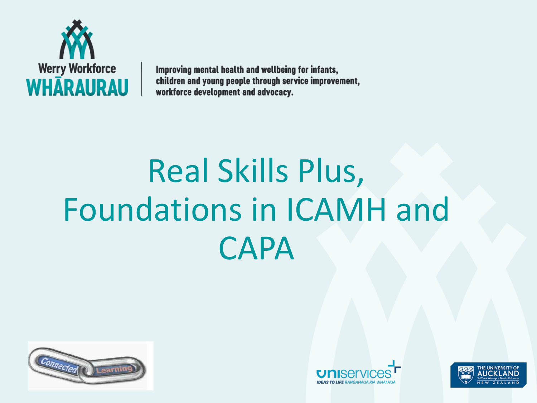

Improving mental health and wellbeing for infants, children and young people through service improvement, workforce development and advocacy.

# Real Skills Plus, Foundations in ICAMH and CAPA





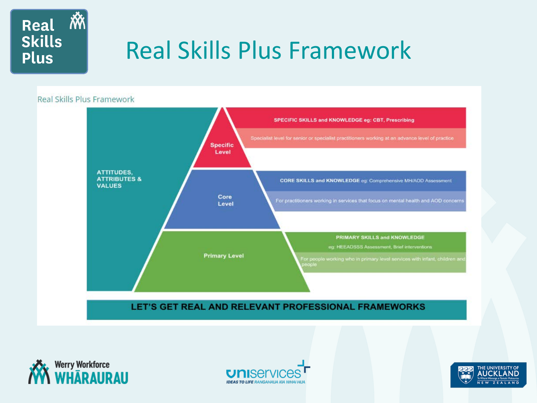

## Real Skills Plus Framework

#### Real Skills Plus Framework







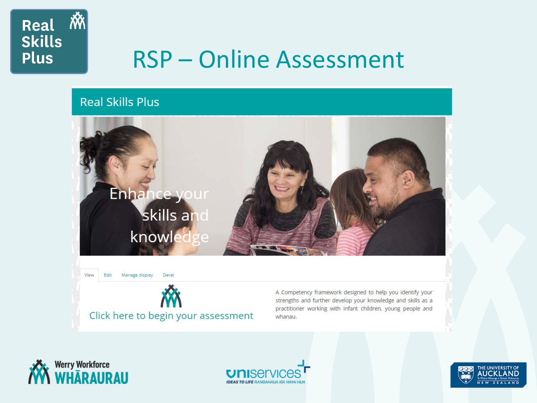

### RSP – Online Assessment

### **Real Skills Plus**





Devel

Manage display

A Competency framework designed to help you identify your strengths and further develop your knowledge and skills as a practitioner working with infant children, young people and whanau.



View

Edit



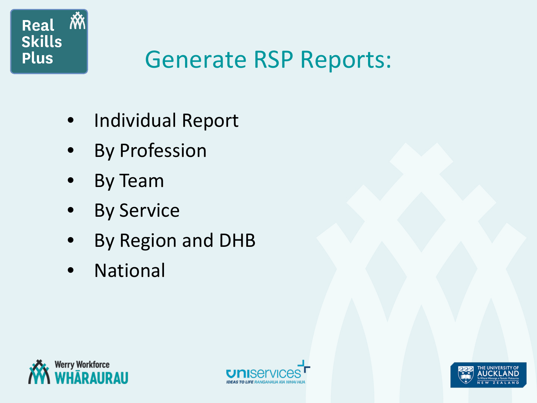

## Generate RSP Reports:

- Individual Report
- **By Profession**
- By Team
- **By Service**
- By Region and DHB
- **National**





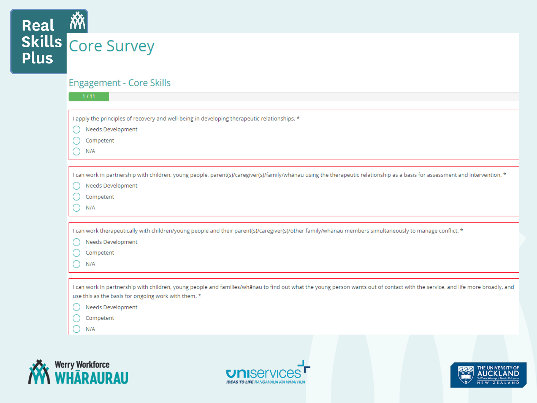

### **Engagement - Core Skills**

| 1/11                                                                                                                                                                          |
|-------------------------------------------------------------------------------------------------------------------------------------------------------------------------------|
|                                                                                                                                                                               |
| I apply the principles of recovery and well-being in developing therapeutic relationships. *                                                                                  |
| Needs Development                                                                                                                                                             |
| Competent                                                                                                                                                                     |
| N/A                                                                                                                                                                           |
|                                                                                                                                                                               |
|                                                                                                                                                                               |
| I can work in partnership with children, young people, parent(s)/caregiver(s)/family/whanau using the therapeutic relationship as a basis for assessment and intervention. *  |
| Needs Development                                                                                                                                                             |
| Competent                                                                                                                                                                     |
| N/A                                                                                                                                                                           |
|                                                                                                                                                                               |
|                                                                                                                                                                               |
|                                                                                                                                                                               |
| I can work therapeutically with children/young people and their parent(s)/caregiver(s)/other family/whanau members simultaneously to manage conflict. *                       |
| Needs Development                                                                                                                                                             |
| Competent                                                                                                                                                                     |
| N/A                                                                                                                                                                           |
|                                                                                                                                                                               |
| I can work in partnership with children, young people and families/whānau to find out what the young person wants out of contact with the service, and life more broadly, and |
| use this as the basis for ongoing work with them. *                                                                                                                           |
| Needs Development                                                                                                                                                             |
| Competent                                                                                                                                                                     |
| N/A                                                                                                                                                                           |





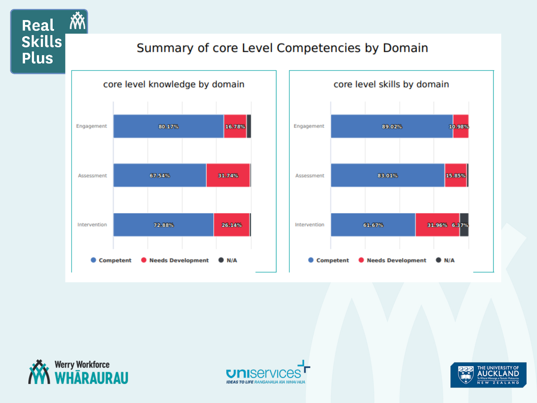### Summary of core Level Competencies by Domain







Real M

**Skills** 

**Plus** 



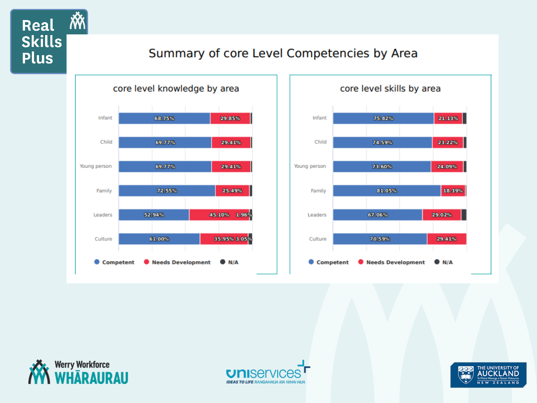### Summary of core Level Competencies by Area







 $|\widetilde{N\!N}|$ 

Real

**Skills** 

**Plus** 



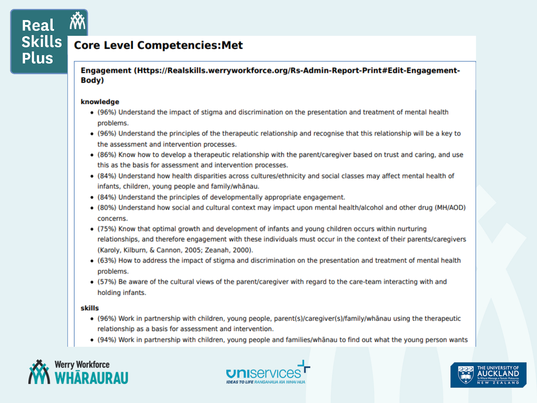Real **Skills Plus** 

### **Core Level Competencies: Met**

Engagement (Https://Realskills.werryworkforce.org/Rs-Admin-Report-Print#Edit-Engagement-**Body**)

#### knowledge

- (96%) Understand the impact of stigma and discrimination on the presentation and treatment of mental health problems.
- (96%) Understand the principles of the therapeutic relationship and recognise that this relationship will be a key to the assessment and intervention processes.
- (86%) Know how to develop a therapeutic relationship with the parent/caregiver based on trust and caring, and use this as the basis for assessment and intervention processes.
- (84%) Understand how health disparities across cultures/ethnicity and social classes may affect mental health of infants, children, young people and family/whanau.
- (84%) Understand the principles of developmentally appropriate engagement.
- (80%) Understand how social and cultural context may impact upon mental health/alcohol and other drug (MH/AOD) concerns.
- (75%) Know that optimal growth and development of infants and young children occurs within nurturing relationships, and therefore engagement with these individuals must occur in the context of their parents/caregivers (Karoly, Kilburn, & Cannon, 2005; Zeanah, 2000).
- (63%) How to address the impact of stigma and discrimination on the presentation and treatment of mental health problems.
- (57%) Be aware of the cultural views of the parent/caregiver with regard to the care-team interacting with and holding infants.

#### skills

- (96%) Work in partnership with children, young people, parent(s)/caregiver(s)/family/whanau using the therapeutic relationship as a basis for assessment and intervention.
- · (94%) Work in partnership with children, young people and families/whanau to find out what the young person wants





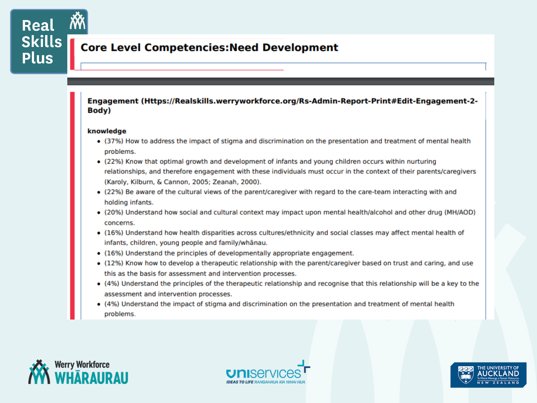### **Core Level Competencies: Need Development**

#### Engagement (Https://Realskills.werryworkforce.org/Rs-Admin-Report-Print#Edit-Engagement-2-Body)

#### knowledge

- (37%) How to address the impact of stigma and discrimination on the presentation and treatment of mental health problems.
- (22%) Know that optimal growth and development of infants and young children occurs within nurturing relationships, and therefore engagement with these individuals must occur in the context of their parents/caregivers (Karoly, Kilburn, & Cannon, 2005; Zeanah, 2000).
- (22%) Be aware of the cultural views of the parent/caregiver with regard to the care-team interacting with and holding infants.
- (20%) Understand how social and cultural context may impact upon mental health/alcohol and other drug (MH/AOD) concerns.
- (16%) Understand how health disparities across cultures/ethnicity and social classes may affect mental health of infants, children, young people and family/whanau.
- (16%) Understand the principles of developmentally appropriate engagement.
- (12%) Know how to develop a therapeutic relationship with the parent/caregiver based on trust and caring, and use this as the basis for assessment and intervention processes.
- (4%) Understand the principles of the therapeutic relationship and recognise that this relationship will be a key to the assessment and intervention processes.
- (4%) Understand the impact of stigma and discrimination on the presentation and treatment of mental health problems.





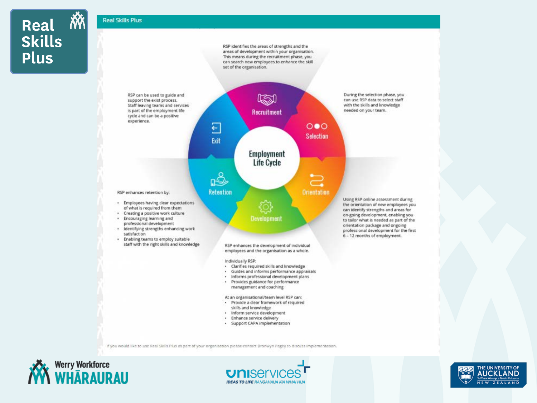Real M **Skills Plus** 

#### **Real Skills Plus**

RSP identifies the areas of strengths and the areas of development within your organisation. This means during the recruitment phase, you can search new employees to enhance the skill set of the organisation.



If you would like to use Real Skills Pius as part of your organisation please contact Bronwyn Pagey to discuss implementation.





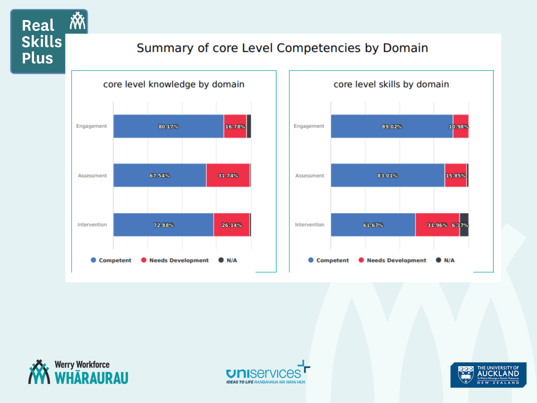### Summary of core Level Competencies by Domain







Real M

**Skills** 

**Plus** 



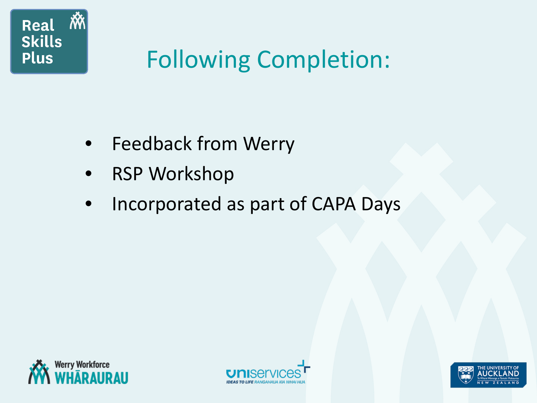

## Following Completion:

- Feedback from Werry
- **RSP Workshop**
- Incorporated as part of CAPA Days





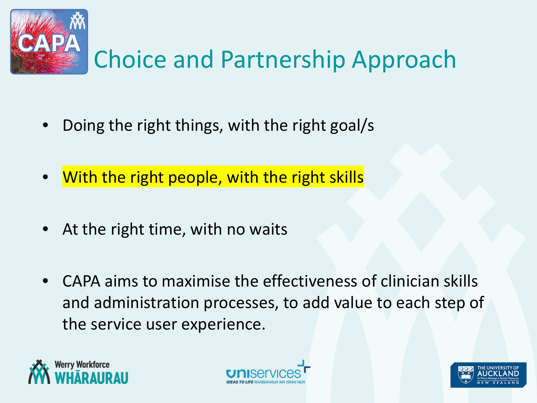

- Doing the right things, with the right goal/s
- With the right people, with the right skills
- At the right time, with no waits
- CAPA aims to maximise the effectiveness of clinician skills and administration processes, to add value to each step of the service user experience.





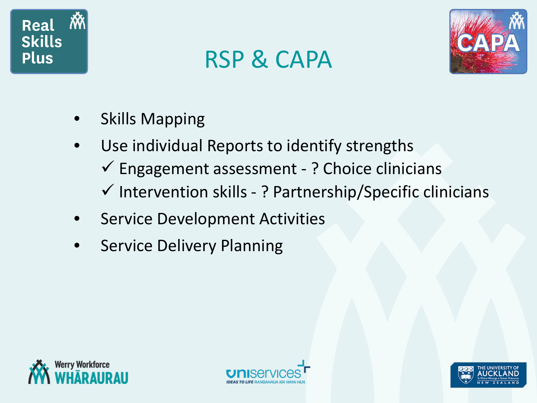

## RSP & CAPA



- **Skills Mapping**
- Use individual Reports to identify strengths  $\checkmark$  Engagement assessment - ? Choice clinicians  $\checkmark$  Intervention skills - ? Partnership/Specific clinicians
- Service Development Activities
- **Service Delivery Planning**





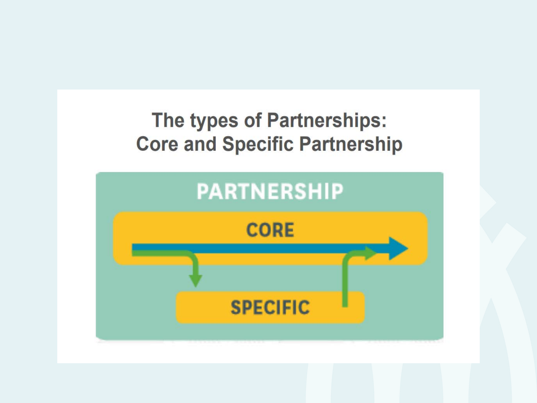### The types of Partnerships: **Core and Specific Partnership**

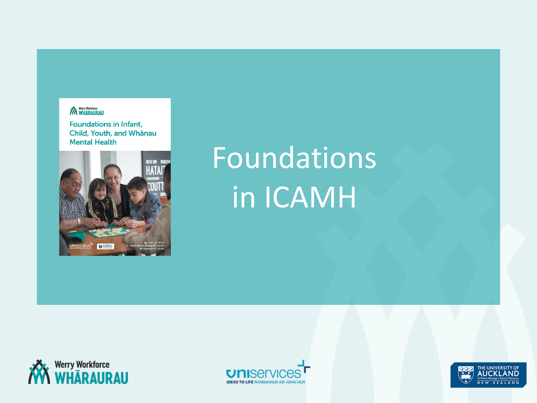#### **AWA** Werry Workforce

**Foundations in Infant,** Child, Youth, and Whānau **Mental Health** 



# Foundations in ICAMH





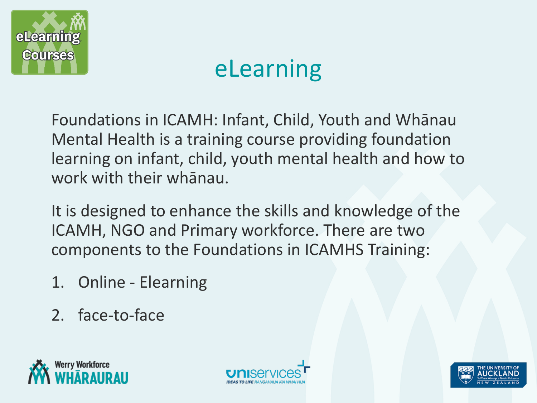

## eLearning

Foundations in ICAMH: Infant, Child, Youth and Whānau Mental Health is a training course providing foundation learning on infant, child, youth mental health and how to work with their whānau.

It is designed to enhance the skills and knowledge of the ICAMH, NGO and Primary workforce. There are two components to the Foundations in ICAMHS Training:

- 1. Online Elearning
- 2. face-to-face





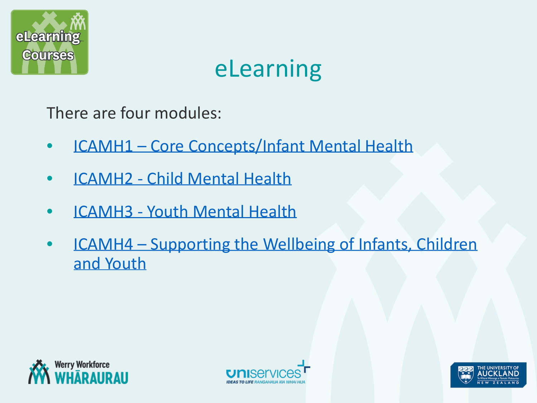

### eLearning

There are four modules:

- ICAMH1 [Core Concepts/Infant Mental Health](http://www.goodfellowunit.org/werry)
- ICAMH2 [Child Mental Health](http://www.goodfellowunit.org/werry)
- ICAMH3 [Youth Mental Health](http://www.goodfellowunit.org/werry)
- ICAMH4 [Supporting the Wellbeing of Infants, Children](http://www.goodfellowunit.org/werry) and Youth





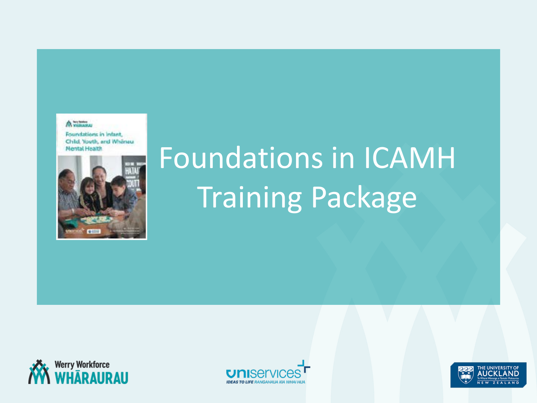#### A village

Foundations in Infant, Child, Youth, and Whänau **Mental Health** 



# Foundations in ICAMH Training Package





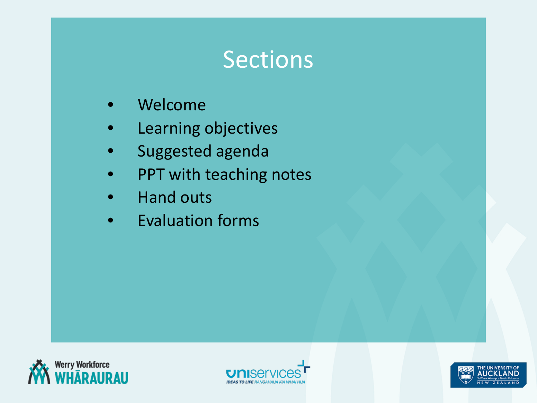### Sections

- Welcome
- Learning objectives
- Suggested agenda
- PPT with teaching notes
- Hand outs
- Evaluation forms





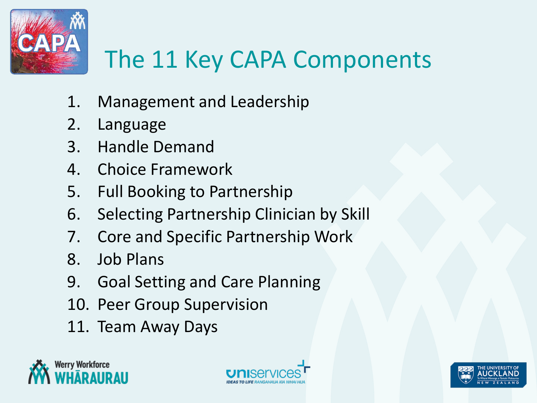

## The 11 Key CAPA Components

- 1. Management and Leadership
- 2. Language
- 3. Handle Demand
- 4. Choice Framework
- 5. Full Booking to Partnership
- 6. Selecting Partnership Clinician by Skill
- 7. Core and Specific Partnership Work
- 8. Job Plans
- 9. Goal Setting and Care Planning
- 10. Peer Group Supervision
- 11. Team Away Days